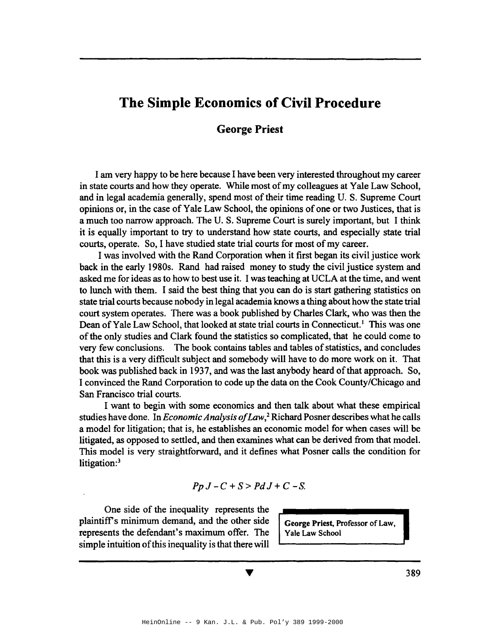# **The Simple Economics of Civil Procedure**

## **George Priest**

I am very happy to be here because I have been very interested throughout my career in state courts and how they operate. While most of my colleagues at Yale Law School, and in legal academia generally, spend most of their time reading U. S. Supreme Court opinions or, in the case of Yale Law School, the opinions of one or two Justices, that is a much too narrow approach. The U. S. Supreme Court is surely important, but I think it is equally important to try to understand how state courts, and especially state trial courts, operate. So, I have studied state trial courts for most of my career.

I was involved with the Rand Corporation when it first began its civil justice work back in the early 1980s. Rand had raised money to study the civil justice system and asked me for ideas as to how to best use it. I was teaching at UCLA at the time, and went to lunch with them. I said the best thing that you can do is start gathering statistics on state trial courts because nobody in legal academia knows a thing about howthe state trial court system operates. There was a book published by Charles Clark, who was then the Dean of Yale Law School, that looked at state trial courts in Connecticut.<sup>1</sup> This was one of the only studies and Clark found the statistics so complicated, that he could come to very few conclusions. The book contains tables and tables of statistics, and concludes that this is a very difficult subject and somebody will have to do more work on it. That book was published back in 1937, and was the last anybody heard of that approach. So, I convinced the Rand Corporation to code up the data on the Cook County/Chicago and San Francisco trial courts.

I want to begin with some economics and then talk about what these empirical studies have done. In *Economic Analysis ofLaw,*<sup>2</sup> Richard Posner describes what he calls a model for litigation; that is, he establishes an economic model for when cases will be litigated, as opposed to settled, and then examines what can be derived from that model. This model is very straightforward, and it defines what Posner calls the condition for litigation:<sup>3</sup>

$$
Pp J - C + S > Pd J + C - S.
$$

One side of the inequality represents the plaintiff's minimum demand, and the other side  $\int$  George Priest, Professor of Law, represents the defendant's maximum offer. The | Yale Law School simple intuition of this inequality is that there will

389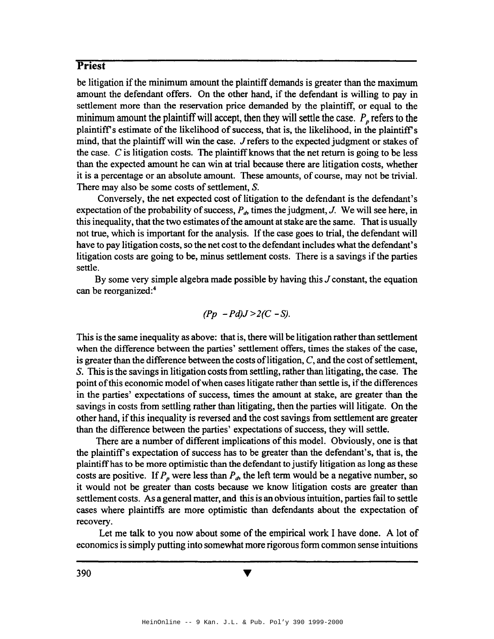be litigation if the minimum amount the plaintiff demands is greater than the maximum amount the defendant offers. On the other hand, if the defendant is willing to pay in settlement more than the reservation price demanded by the plaintiff, or equal to the minimum amount the plaintiff will accept, then they will settle the case.  $P_p$  refers to the plaintiff's estimate of the likelihood of success, that is, the likelihood, in the plaintiff's mind, that the plaintiff will win the case. J refers to the expected judgment or stakes of the case.  $C$  is litigation costs. The plaintiff knows that the net return is going to be less than the expected amount he can win at trial because there are litigation costs, whether it is a percentage or an absolute amount. These amounts, of course, may not be trivial. There may also be some costs of settlement, S.

Conversely, the net expected cost of litigation to the defendant is the defendant's expectation of the probability of success,  $P_d$ , times the judgment, J. We will see here, in this inequality, that the two estimates of the amount at stake are the same. That is usually not true, which is important for the analysis. If the case goes to trial, the defendant will have to pay litigation costs, so the net cost to the defendant includes what the defendant's litigation costs are going to be, minus settlement costs. There is a savings if the parties settle.

By some very simple algebra made possible by having this  $J$  constant, the equation can be reorganized:4

$$
(Pp - Pd)J > 2(C - S).
$$

This is the same inequality as above: that is, there will be litigation rather than settlement when the difference between the parties' settlement offers, times the stakes of the case, is greater than the difference between the costs of litigation,  $C$ , and the cost of settlement, S. This is the savings in litigation costs from settling, rather than litigating, the case. The point ofthis economic model ofwhen cases litigate rather than settle is, ifthe differences in the parties' expectations of success, times the amount at stake, are greater than the savings in costs from settling rather than litigating, then the parties will litigate. On the other hand, ifthis inequality is reversed and the cost savings from settlement are greater than the difference between the parties' expectations of success, they will settle.

There are a number of different implications of this model. Obviously, one is that the plaintiff's expectation of success has to be greater than the defendant's, that is, the plaintiffhas to be more optimistic than the defendant to justify litigation as long as these costs are positive. If  $P_p$  were less than  $P_d$ , the left term would be a negative number, so it would not be greater than costs because we know litigation costs are greater than settlement costs. As a general matter, and this is an obvious intuition, parties fail to settle cases where plaintiffs are more optimistic than defendants about the expectation of recovery.

Let me talk to you now about some of the empirical work I have done. A lot of economics is simply putting into somewhat more rigorousform common sense intuitions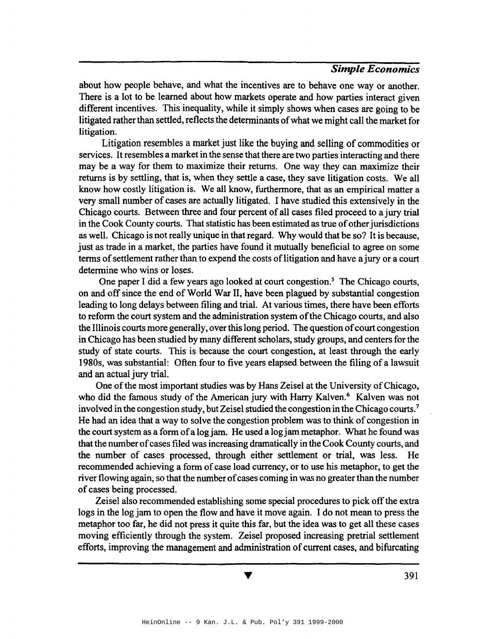about how people behave, and what the incentives are to behave one way or another. There is a lot to be learned about how markets operate and how parties interact given different incentives. This inequality, while it simply shows when cases are going to be litigated rather than settled, reflects the determinants of what we might call the market for litigation.

Litigation resembles a market just like the buying and selling of commodities or services. It resembles a market in the sense that there are two parties interacting and there may be a way for them to maximize their returns. One way they can maximize their returns is by settling, that is, when they settle a case, they save litigation costs. We all know how costly litigation is. We all know, furthermore, that as an empirical matter a very small number of cases are actually litigated. I have studied this extensively in the Chicago courts. Between three and four percent of all cases filed proceed to a jury trial in the Cook County courts. That statistic has been estimated as true of other jurisdictions as well. Chicago is not really unique in that regard. Why would that be so? It is because, just as trade in a market, the parties have found it mutually beneficial to agree on some terms of settlement rather than to expend the costs of litigation and have a jury or a court determine who wins or loses.

One paper I did a few years ago looked at court congestion.<sup>5</sup> The Chicago courts, on and off since the end of World War II, have been plagued by substantial congestion leading to long delays between filing and trial. At various times, there have been efforts to reform the court system and the administration system of the Chicago courts, and also the Illinois courts more generally, over this long period. The question of court congestion in Chicago has been studied by many different scholars, study groups, and centersfor the study of state courts. This is because the court congestion, at least through the early 1980s, was substantial: Often four to five years elapsed between the filing of a lawsuit and an actual jury trial.

One of the most important studies was by Hans Zeisel at the University of Chicago, who did the famous study of the American jury with Harry Kalven.<sup>6</sup> Kalven was not involved in the congestion study, but Zeisel studied the congestion in the Chicago courts.<sup>7</sup> He had an idea that a way to solve the congestion problem was to think of congestion in the court system as a form of a log jam. He used a log jam metaphor. What he found was that the number of cases filed was increasing dramatically in the Cook County courts, and the number of cases processed, through either settlement or trial, was less. He recommended achieving a form of case load currency, or to use his metaphor, to get the river flowing again, so that the number of cases coming in was no greater than the number of cases being processed.

Zeisel also recommended establishing some special procedures to pick off the extra logs in the log jam to open the flow and have it move again. I do not mean to press the metaphor too far, he did not press it quite this far, but the idea was to get all these cases moving efficiently through the system. Zeisel proposed increasing pretrial settlement efforts, improving the management and administration of current cases, and bifurcating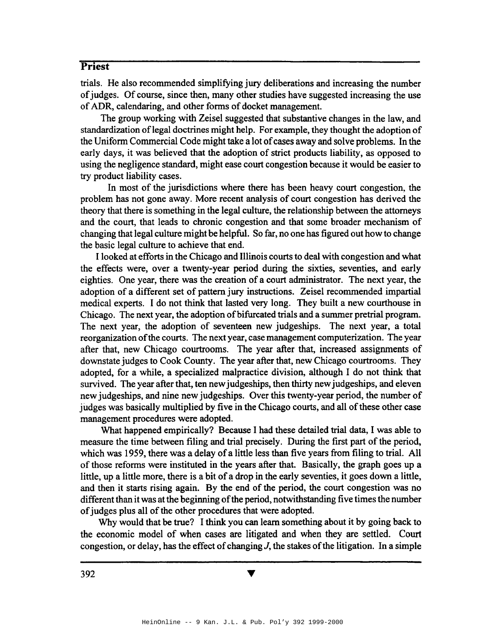trials. He also recommended simplifying jury deliberations and increasing the number of judges. Of course, since then, many other studies have suggested increasing the use ofADR, calendaring, and other forms of docket management.

The group working with Zeisel suggested that substantive changes in the law, and standardization of legal doctrines might help. For example, they thought the adoption of the Uniform Commercial Code might take a lot of cases away and solve problems. In the early days, it was believed that the adoption of strict products liability, as opposed to using the negligence standard, might ease court congestion because it would be easier to try product liability cases.

In most of the jurisdictions where there has been heavy court congestion, the problem has not gone away. More recent analysis of court congestion has derived the theory that there is something in the legal culture, the relationship between the attorneys and the court, that leads to chronic congestion and that some broader mechanism of changing that legal culture might be helpful. So far, no one has figured out how to change the basic legal culture to achieve that end.

I looked at efforts in the Chicago and Illinois courtsto deal with congestion and what the effects were, over a twenty-year period during the sixties, seventies, and early eighties. One year, there was the creation of a court administrator. The next year, the adoption of a different set of pattern jury instructions. Zeisel recommended impartial medical experts. I do not think that lasted very long. They built a new courthouse in Chicago. The next year, the adoption of bifurcated trials and a summer pretrial program. The next year, the adoption of seventeen new judgeships. The next year, a total reorganization of the courts. The next year, case management computerization. The year after that, new Chicago courtrooms. The year after that, increased assignments of downstate judges to Cook County. The year after that, new Chicago courtrooms. They adopted, for a while, a specialized malpractice division, although I do not think that survived. The year after that, ten new judgeships, then thirty new judgeships, and eleven new judgeships, and nine new judgeships. Over this twenty-year period, the number of judges was basically multiplied by five in the Chicago courts, and all of these other case management procedures were adopted.

What happened empirically? Because I had these detailed trial data, I was able to measure the time between filing and trial precisely. During the first part of the period, which was 1959, there was a delay of a little less than five years from filing to trial. All of those reforms were instituted in the years after that. Basically, the graph goes up a little, up a little more, there is a bit of a drop in the early seventies, it goes down a little, and then it starts rising again. By the end of the period, the court congestion was no different than it was at the beginning of the period, notwithstanding five times the number of judges plus all of the other procedures that were adopted.

Why would that be true? I think you can learn something about it by going back to the economic model of when cases are litigated and when they are settled. Court congestion, or delay, has the effect of changing  $J$ , the stakes of the litigation. In a simple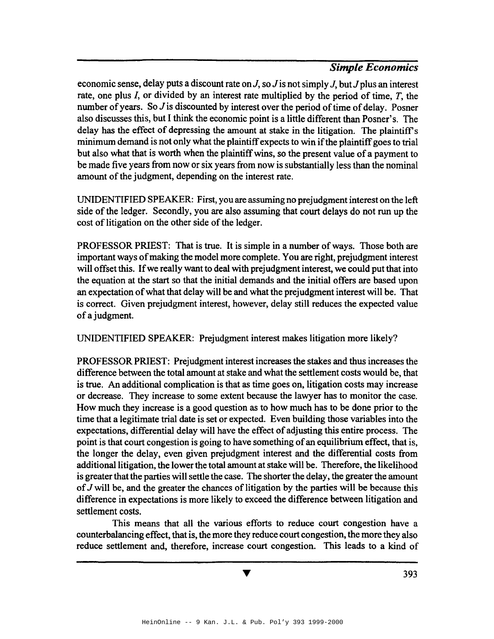economic sense, delay puts a discount rate on  $J$ , so  $J$  is not simply  $J$ , but  $J$  plus an interest rate, one plus *I,* or divided by an interest rate multiplied by the period of time, *T,* the number of years. So  $J$  is discounted by interest over the period of time of delay. Posner also discusses this, but I think the economic point is a little different than Posner's. The delay has the effect of depressing the amount at stake in the litigation. The plaintiff's minimum demand is not only what the plaintiff expects to win if the plaintiff goes to trial but also what that is worth when the plaintiff wins, so the present value of a payment to be made five years from now or six years from now is substantially less than the nominal amount of the judgment, depending on the interest rate.

UNIDENTIFIED SPEAKER: First, you are assuming no prejudgment interest on the left side of the ledger. Secondly, you are also assuming that court delays do not run up the cost of litigation on the other side of the ledger.

PROFESSOR PRIEST: That is true. It is simple in a number of ways. Those both are important ways ofmaking the model more complete. You are right, prejudgment interest will offset this. Ifwe really want to deal with prejudgment interest, we could put that into the equation at the start so that the initial demands and the initial offers are based upon an expectation of what that delay will be and what the prejudgment interest will be. That is correct. Given prejudgment interest, however, delay still reduces the expected value of a judgment.

UNIDENTIFIED SPEAKER: Prejudgment interest makes litigation more likely?

PROFESSOR PRIEST: Prejudgment interest increases the stakes and thus increases the difference between the total amount at stake and what the settlement costs would be, that is true. An additional complication is that as time goes on, litigation costs may increase or decrease. They increase to some extent because the lawyer has to monitor the case. How much they increase is a good question as to how much has to be done prior to the time that a legitimate trial date is set or expected. Even building those variables into the expectations, differential delay will have the effect of adjusting this entire process. The point is that court congestion is going to have something of an equilibrium effect, that is, the longer the delay, even given prejudgment interest and the differential costs from additional litigation, the lower the total amount at stake will be. Therefore, the likelihood is greater that the parties will settle the case. The shorter the delay, the greater the amount of  $J$  will be, and the greater the chances of litigation by the parties will be because this difference in expectations is more likely to exceed the difference between litigation and settlement costs.

This means that all the various efforts to reduce court congestion have a counterbalancing effect, that is, the more they reduce court congestion, the more they also reduce settlement and, therefore, increase court congestion. This leads to a kind of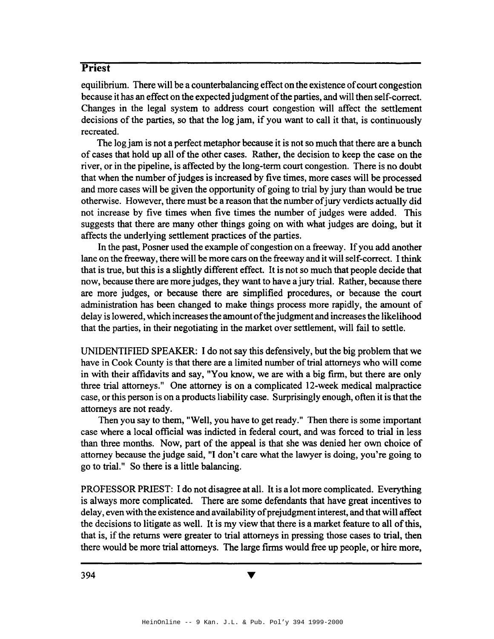equilibrium. There will be a counterbalancing effect on the existence of court congestion because it has an effect on the expectedjudgment ofthe parties, and will then self-correct. Changes in the legal system to address court congestion will affect the settlement decisions of the parties, so that the log jam, if you want to call it that, is continuously recreated.

The log jam is not a perfect metaphor because it is not so much that there are a bunch of cases that hold up all of the other cases. Rather, the decision to keep the case on the river, or in the pipeline, is affected by the long-term court congestion. There is no doubt that when the number of judges is increased by five times, more cases will be processed and more cases will be given the opportunity of going to trial by jury than would be true otherwise. However, there must be a reason that the number ofjury verdicts actually did not increase by five times when five times the number of judges were added. This suggests that there are many other things going on with what judges are doing, but it affects the underlying settlement practices of the parties.

In the past, Posner used the example of congestion on a freeway. If you add another lane on the freeway, there will be more cars on the freeway and it will self-correct. I think that is true, but this is a slightly different effect. It is not so much that people decide that now, because there are more judges, they want to have a jury trial. Rather, because there are more judges, or because there are simplified procedures, or because the court administration has been changed to make things process more rapidly, the amount of delay is lowered, which increases the amount of the judgment and increases the likelihood that the parties, in their negotiating in the market over settlement, will fail to settle.

UNIDENTIFIED SPEAKER: I do not say this defensively, but the big problem that we have in Cook County is that there are a limited number of trial attorneys who will come in with their affidavits and say, "You know, we are with a big firm, but there are only three trial attorneys." One attorney is on a complicated 12-week medical malpractice case, or this person is on a products liability case. Surprisingly enough, often it is that the attorneys are not ready.

Then you say to them, "Well, you have to get ready." Then there is some important case where a local official was indicted in federal court, and was forced to trial in less than three months. Now, part of the appeal is that she was denied her own choice of attorney because the judge said, "I don't care what the lawyer is doing, you're going to go to trial." So there is a little balancing.

PROFESSOR PRIEST: I do not disagree at all. It is a lot more complicated. Everything is always more complicated. There are some defendants that have great incentives to delay, even with the existence and availability of prejudgment interest, and that will affect the decisions to litigate as well. It is my view that there is a market feature to all of this, that is, ifthe returns were greater to trial attorneys in pressing those cases to trial, then there would be more trial attorneys. The large firms would free up people, or hire more,

394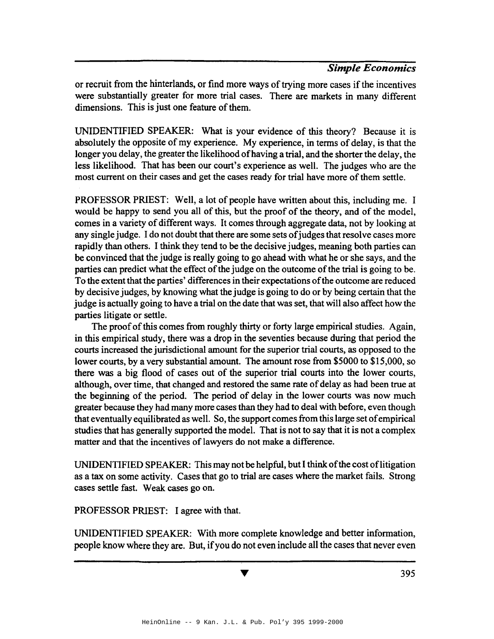or recruit from the hinterlands, or find more ways of trying more cases if the incentives were substantially greater for more trial cases. There are markets in many different dimensions. This is just one feature of them.

UNIDENTIFIED SPEAKER: What is your evidence of this theory? Because it is absolutely the opposite of my experience. My experience, in terms of delay, is that the longer you delay, the greater the likelihood of having a trial, and the shorter the delay, the less likelihood. That has been our court's experience as well. The judges who are the most current on their cases and get the cases ready for trial have more of them settle.

PROFESSOR PRIEST: Well, a lot of people have written about this, including me. I would be happy to send you all of this, but the proof of the theory, and of the model, comes in a variety of different ways. It comes through aggregate data, not by looking at any single judge. I do not doubt that there are some sets of judges that resolve cases more rapidly than others. I think they tend to be the decisive judges, meaning both parties can be convinced that the judge is really going to go ahead with what he or she says, and the parties can predict what the effect of the judge on the outcome of the trial is going to be. To the extent that the parties' differences in their expectations of the outcome are reduced by decisive judges, by knowing what the judge is going to do or by being certain that the judge is actually going to have a trial on the date that was set, that will also affect how the parties litigate or settle.

The proof of this comes from roughly thirty or forty large empirical studies. Again, in this empirical study, there was a drop in the seventies because during that period the courts increased the jurisdictional amount for the superior trial courts, as opposed to the lower courts, by a very substantial amount. The amount rose from \$5000 to \$15,000, so there was a big flood of cases out of the superior trial courts into the lower courts, although, over time, that changed and restored the same rate of delay as had been true at the beginning of the period. The period of delay in the lower courts was now much greater because they had many more cases than they had to deal with before, even though that eventually equilibrated as well. So, the support comes from this large set of empirical studies that has generally supported the model. That is not to say that it is not a complex matter and that the incentives of lawyers do not make a difference.

UNIDENTIFIED SPEAKER: This may not be helpful, but I think of the cost of litigation as a tax on some activity. Cases that go to trial are cases where the market fails. Strong cases settle fast. Weak cases go on.

PROFESSOR PRIEST: I agree with that.

UNIDENTIFIED SPEAKER: With more complete knowledge and better information, people know where they are. But, ifyou do not even include all the cases that never even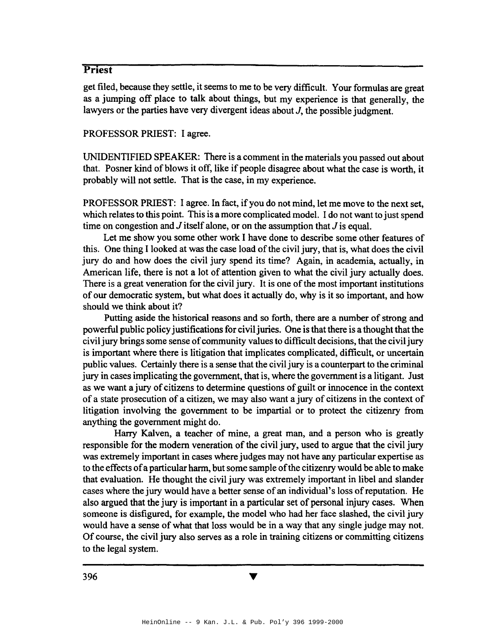get filed, because they settle, it seems to me to be very difficult. Your formulas are great as a jumping off place to talk about things, but my experience is that generally, the lawyers or the parties have very divergent ideas about J, the possible judgment.

#### PROFESSOR PRIEST: I agree.

UNIDENTIFIED SPEAKER: There is a comment in the materials you passed out about that. Posner kind of blows it off, like if people disagree about what the case is worth, it probably will not settle. That is the case, in my experience.

PROFESSOR PRIEST: I agree. In fact, if you do not mind, let me move to the next set, which relates to this point. This is a more complicated model. I do not want to just spend time on congestion and  $J$  itself alone, or on the assumption that  $J$  is equal.

Let me show you some other work I have done to describe some other features of this. One thing I looked at was the case load of the civil jury, that is, what does the civil jury do and how does the civil jury spend its time? Again, in academia, actually, in American life, there is not a lot of attention given to what the civil jury actually does. There is a great veneration for the civil jury. It is one of the most important institutions of our democratic system, but what does it actually do, why is it so important, and how should we think about it?

Putting aside the historical reasons and so forth, there are a number of strong and powerful public policy justifications for civil juries. One is that there is a thought that the civil jury brings some sense of community values to difficult decisions, that the civil jury is important where there is litigation that implicates complicated, difficult, or uncertain public values. Certainly there is a sense that the civil jury is a counterpart to the criminal jury in cases implicating the government, that is, where the government is a litigant. Just as we want a jury of citizens to determine questions of guilt or innocence in the context of a state prosecution of a citizen, we may also want a jury of citizens in the context of litigation involving the government to be impartial or to protect the citizenry from anything the government might do.

Harry Kalven, a teacher of mine, a great man, and a person who is greatly responsible for the modern veneration of the civil jury, used to argue that the civil jury was extremely important in cases where judges may not have any particular expertise as to the effects of a particular harm, but some sample of the citizenry would be able to make that evaluation. He thought the civil jury was extremely important in libel and slander cases where the jury would have a better sense of an individual's loss of reputation. He also argued that the jury is important in a particular set of personal injury cases. When someone is disfigured, for example, the model who had her face slashed, the civil jury would have a sense of what that loss would be in a way that any single judge may not. Of course, the civil jury also serves as a role in training citizens or committing citizens to the legal system.

V

396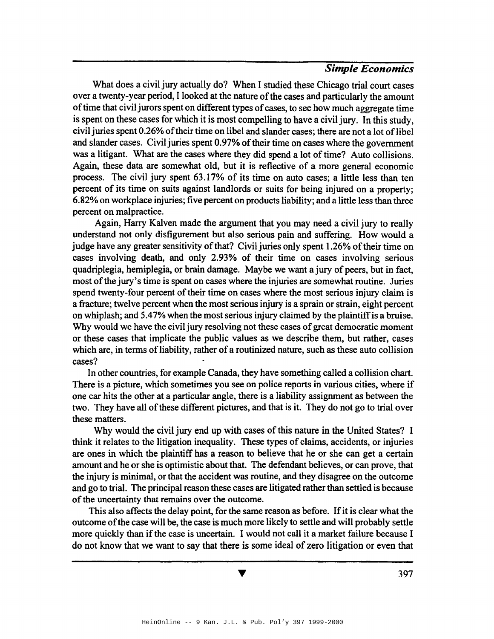What does a civil jury actually do? When I studied these Chicago trial court cases over a twenty-year period, I looked at the nature of the cases and particularly the amount of time that civil jurors spent on different types of cases, to see how much aggregate time is spent on these cases for which it is most compelling to have a civil jury. In this study, civil juries spent 0.26% of their time on libel and slander cases; there are not a lot of libel and slander cases. Civil juries spent 0.97% of their time on cases where the government was a litigant. What are the cases where they did spend a lot of time? Auto collisions. Again, these data are somewhat old, but it is reflective of a more general economic process. The civil jury spent 63.17% of its time on auto cases; a little less than ten percent of its time on suits against landlords or suits for being injured on a property; 6.82% on workplace injuries; five percent on products liability; and a little lessthan three percent on malpractice.

Again, Harry Kalven made the argument that you may need a civil jury to really understand not only disfigurement but also serious pain and suffering. How would a judge have any greater sensitivity of that? Civil juries only spent 1.26% of their time on cases involving death, and only 2.93% of their time on cases involving serious quadriplegia, hemiplegia, or brain damage. Maybe we want a jury of peers, but in fact, most of the jury's time is spent on cases where the injuries are somewhat routine. Juries spend twenty-four percent of their time on cases where the most serious injury claim is a fracture; twelve percent when the most serious injury is a sprain or strain, eight percent on whiplash; and 5.47% when the most serious injury claimed by the plaintiffis a bruise. Why would we have the civil jury resolving not these cases of great democratic moment or these cases that implicate the public values as we describe them, but rather, cases which are, in terms of liability, rather of a routinized nature, such as these auto collision cases?

In other countries, for example Canada, they have something called a collision chart. There is a picture, which sometimes you see on police reports in various cities, where if one car hits the other at a particular angle, there is a liability assignment as between the two. They have all of these different pictures, and that is it. They do not go to trial over these matters.

Why would the civil jury end up with cases of this nature in the United States? I think it relates to the litigation inequality. These types of claims, accidents, or injuries are ones in which the plaintiff has a reason to believe that he or she can get a certain amount and he or she is optimistic about that. The defendant believes, or can prove, that the injury is minimal, or that the accident was routine, and they disagree on the outcome and go to trial. The principal reason these cases are litigated rather than settled is because of the uncertainty that remains over the outcome.

This also affects the delay point, for the same reason as before. If it is clear what the outcome ofthe case will be, the case is much more likely to settle and will probably settle more quickly than if the case is uncertain. I would not call it a market failure because I do not know that we want to say that there is some ideal of zero litigation or even that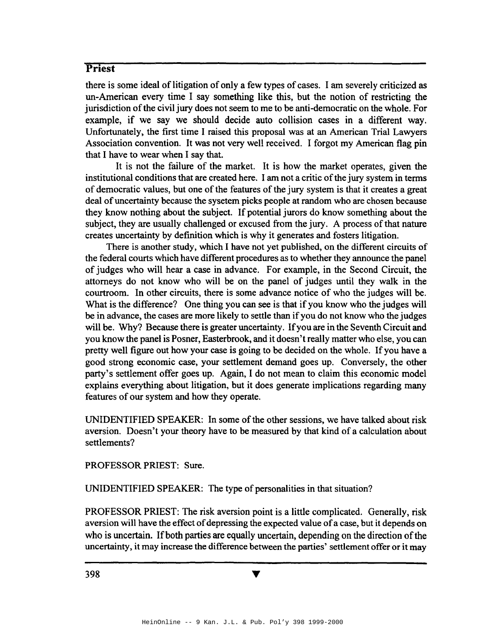there is some ideal of litigation of only a few types of cases. I am severely criticized as un-American every time I say something like this, but the notion of restricting the jurisdiction of the civil jury does not seem to me to be anti-democratic on the whole. For example, if we say we should decide auto collision cases in a different way. Unfortunately, the first time I raised this proposal was at an American Trial Lawyers Association convention. It was not very well received. I forgot my American flag pin that I have to wear when I say that.

It is not the failure of the market. It is how the market operates, given the institutional conditions that are created here. I am not a critic of the jury system in terms of democratic values, but one of the features of the jury system is that it creates a great deal of uncertainty because the sysetem picks people at random who are chosen because they know nothing about the subject. If potential jurors do know something about the subject, they are usually challenged or excused from the jury. A process of that nature creates uncertainty by definition which is why it generates and fosters litigation.

There is another study, which I have not yet published, on the different circuits of the federal courts which have different procedures as to whether they announce the panel of judges who will hear a case in advance. For example, in the Second Circuit, the attorneys do not know who will be on the panel of judges until they walk in the courtroom. In other circuits, there is some advance notice of who the judges will be. What is the difference? One thing you can see is that if you know who the judges will be in advance, the cases are more likely to settle than if you do not know who the judges will be. Why? Because there is greater uncertainty. If you are in the Seventh Circuit and you know the panel is Posner, Easterbrook, and it doesn't really matter who else, you can pretty well figure out how your case is going to be decided on the whole. If you have a good strong economic case, your settlement demand goes up. Conversely, the other party's settlement offer goes up. Again, I do not mean to claim this economic model explains everything about litigation, but it does generate implications regarding many features of our system and how they operate.

UNIDENTIFIED SPEAKER: In some of the other sessions, we have talked about risk aversion. Doesn't your theory have to be measured by that kind of a calculation about settlements?

PROFESSOR PRIEST: Sure.

UNIDENTIFIED SPEAKER: The type of personalities in that situation?

PROFESSOR PRIEST: The risk aversion point is a little complicated. Generally, risk aversion will have the effect of depressing the expected value of a case, but it depends on who is uncertain. If both parties are equally uncertain, depending on the direction of the uncertainty, it may increase the difference between the parties' settlement offer or it may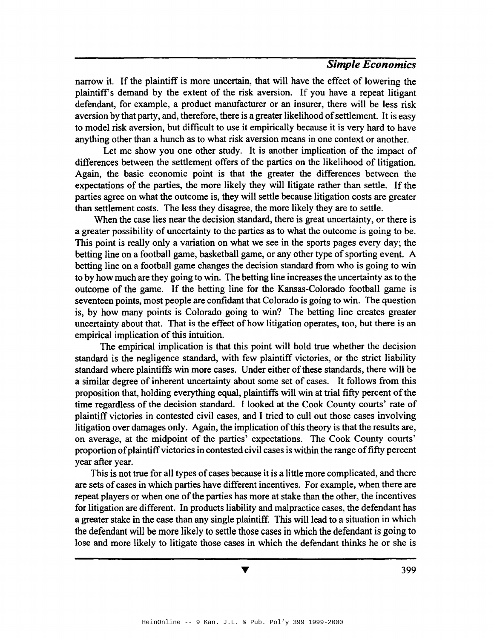narrow it. If the plaintiff is more uncertain, that will have the effect of lowering the plaintiffs demand by the extent of the risk aversion. If you have a repeat litigant defendant, for example, a product manufacturer or an insurer, there will be less risk aversion by that party, and, therefore, there is a greater likelihood of settlement. It is easy to model risk aversion, but difficult to use it empirically because it is very hard to have anything other than a hunch as to what risk aversion means in one context or another.

Let me show you one other study. It is another implication of the impact of differences between the settlement offers of the parties on the likelihood of litigation. Again, the basic economic point is that the greater the differences between the expectations of the parties, the more likely they will litigate rather than settle. If the parties agree on what the outcome is, they will settle because litigation costs are greater than settlement costs. The less they disagree, the more likely they are to settle.

When the case lies near the decision standard, there is great uncertainty, or there is a greater possibility of uncertainty to the parties as to what the outcome is going to be. This point is really only a variation on what we see in the sports pages every day; the betting line on a football game, basketball game, or any other type of sporting event. A betting line on a football game changes the decision standard from who is going to win to by how much are they going to win. The betting line increases the uncertainty as to the outcome of the game. If the betting line for the Kansas-Colorado football game is seventeen points, most people are confidant that Colorado is going to win. The question is, by how many points is Colorado going to win? The betting line creates greater uncertainty about that. That is the effect of how litigation operates, too, but there is an empirical implication of this intuition.

The empirical implication is that this point will hold true whether the decision standard is the negligence standard, with few plaintiff victories, or the strict liability standard where plaintiffs win more cases. Under either of these standards, there will be a similar degree of inherent uncertainty about some set of cases. It follows from this proposition that, holding everything equal, plaintiffs will win at trial fifty percent of the time regardless of the decision standard. I looked at the Cook County courts' rate of plaintiff victories in contested civil cases, and I tried to cull out those cases involving litigation over damages only. Again, the implication of this theory is that the results are, on average, at the midpoint of the parties' expectations. The Cook County courts' proportion ofplaintiffvictories in contested civil cases is within the range offifty percent year after year.

This is not true for all types of cases because it is a little more complicated, and there are sets of cases in which parties have different incentives. For example, when there are repeat players or when one of the parties has more at stake than the other, the incentives for litigation are different. In products liability and malpractice cases, the defendant has a greater stake in the case than any single plaintiff. This will lead to a situation in which the defendant will be more likely to settle those cases in which the defendant is going to lose and more likely to litigate those cases in which the defendant thinks he or she is